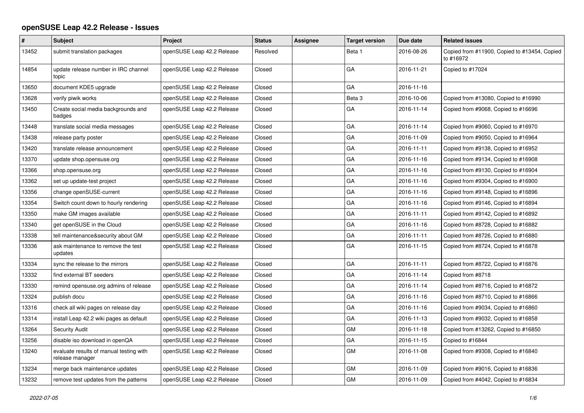## **openSUSE Leap 42.2 Release - Issues**

| #     | Subject                                                    | Project                    | <b>Status</b> | <b>Assignee</b> | <b>Target version</b> | Due date   | <b>Related issues</b>                                     |
|-------|------------------------------------------------------------|----------------------------|---------------|-----------------|-----------------------|------------|-----------------------------------------------------------|
| 13452 | submit translation packages                                | openSUSE Leap 42.2 Release | Resolved      |                 | Beta 1                | 2016-08-26 | Copied from #11900, Copied to #13454, Copied<br>to #16972 |
| 14854 | update release number in IRC channel<br>topic              | openSUSE Leap 42.2 Release | Closed        |                 | GA                    | 2016-11-21 | Copied to #17024                                          |
| 13650 | document KDE5 upgrade                                      | openSUSE Leap 42.2 Release | Closed        |                 | GA                    | 2016-11-16 |                                                           |
| 13628 | verify piwik works                                         | openSUSE Leap 42.2 Release | Closed        |                 | Beta <sub>3</sub>     | 2016-10-06 | Copied from #13080, Copied to #16990                      |
| 13450 | Create social media backgrounds and<br>badges              | openSUSE Leap 42.2 Release | Closed        |                 | GA                    | 2016-11-14 | Copied from #9068, Copied to #16696                       |
| 13448 | translate social media messages                            | openSUSE Leap 42.2 Release | Closed        |                 | GА                    | 2016-11-14 | Copied from #9060, Copied to #16970                       |
| 13438 | release party poster                                       | openSUSE Leap 42.2 Release | Closed        |                 | GA                    | 2016-11-09 | Copied from #9050, Copied to #16964                       |
| 13420 | translate release announcement                             | openSUSE Leap 42.2 Release | Closed        |                 | GA                    | 2016-11-11 | Copied from #9138, Copied to #16952                       |
| 13370 | update shop.opensuse.org                                   | openSUSE Leap 42.2 Release | Closed        |                 | GA                    | 2016-11-16 | Copied from #9134, Copied to #16908                       |
| 13366 | shop.opensuse.org                                          | openSUSE Leap 42.2 Release | Closed        |                 | GA                    | 2016-11-16 | Copied from #9130, Copied to #16904                       |
| 13362 | set up update-test project                                 | openSUSE Leap 42.2 Release | Closed        |                 | GA                    | 2016-11-16 | Copied from #9304, Copied to #16900                       |
| 13356 | change openSUSE-current                                    | openSUSE Leap 42.2 Release | Closed        |                 | GA                    | 2016-11-16 | Copied from #9148, Copied to #16896                       |
| 13354 | Switch count down to hourly rendering                      | openSUSE Leap 42.2 Release | Closed        |                 | GA                    | 2016-11-16 | Copied from #9146, Copied to #16894                       |
| 13350 | make GM images available                                   | openSUSE Leap 42.2 Release | Closed        |                 | GA                    | 2016-11-11 | Copied from #9142, Copied to #16892                       |
| 13340 | get openSUSE in the Cloud                                  | openSUSE Leap 42.2 Release | Closed        |                 | GA                    | 2016-11-16 | Copied from #8728, Copied to #16882                       |
| 13338 | tell maintenance&security about GM                         | openSUSE Leap 42.2 Release | Closed        |                 | GA                    | 2016-11-11 | Copied from #8726, Copied to #16880                       |
| 13336 | ask maintenance to remove the test<br>updates              | openSUSE Leap 42.2 Release | Closed        |                 | GA                    | 2016-11-15 | Copied from #8724, Copied to #16878                       |
| 13334 | sync the release to the mirrors                            | openSUSE Leap 42.2 Release | Closed        |                 | GA                    | 2016-11-11 | Copied from #8722, Copied to #16876                       |
| 13332 | find external BT seeders                                   | openSUSE Leap 42.2 Release | Closed        |                 | GA                    | 2016-11-14 | Copied from #8718                                         |
| 13330 | remind opensuse.org admins of release                      | openSUSE Leap 42.2 Release | Closed        |                 | GА                    | 2016-11-14 | Copied from #8716, Copied to #16872                       |
| 13324 | publish docu                                               | openSUSE Leap 42.2 Release | Closed        |                 | GA                    | 2016-11-16 | Copied from #8710, Copied to #16866                       |
| 13316 | check all wiki pages on release day                        | openSUSE Leap 42.2 Release | Closed        |                 | GA                    | 2016-11-16 | Copied from #9034, Copied to #16860                       |
| 13314 | install Leap 42.2 wiki pages as default                    | openSUSE Leap 42.2 Release | Closed        |                 | GA                    | 2016-11-13 | Copied from #9032, Copied to #16858                       |
| 13264 | Security Audit                                             | openSUSE Leap 42.2 Release | Closed        |                 | <b>GM</b>             | 2016-11-18 | Copied from #13262, Copied to #16850                      |
| 13256 | disable iso download in openQA                             | openSUSE Leap 42.2 Release | Closed        |                 | GA                    | 2016-11-15 | Copied to #16844                                          |
| 13240 | evaluate results of manual testing with<br>release manager | openSUSE Leap 42.2 Release | Closed        |                 | GM                    | 2016-11-08 | Copied from #9308, Copied to #16840                       |
| 13234 | merge back maintenance updates                             | openSUSE Leap 42.2 Release | Closed        |                 | <b>GM</b>             | 2016-11-09 | Copied from #9016, Copied to #16836                       |
| 13232 | remove test updates from the patterns                      | openSUSE Leap 42.2 Release | Closed        |                 | GМ                    | 2016-11-09 | Copied from #4042, Copied to #16834                       |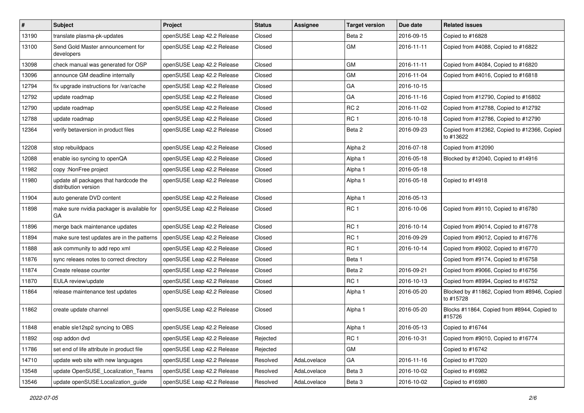| $\vert$ # | Subject                                                       | Project                    | <b>Status</b> | Assignee    | <b>Target version</b> | Due date   | <b>Related issues</b>                                     |
|-----------|---------------------------------------------------------------|----------------------------|---------------|-------------|-----------------------|------------|-----------------------------------------------------------|
| 13190     | translate plasma-pk-updates                                   | openSUSE Leap 42.2 Release | Closed        |             | Beta 2                | 2016-09-15 | Copied to #16828                                          |
| 13100     | Send Gold Master announcement for<br>developers               | openSUSE Leap 42.2 Release | Closed        |             | GM                    | 2016-11-11 | Copied from #4088, Copied to #16822                       |
| 13098     | check manual was generated for OSP                            | openSUSE Leap 42.2 Release | Closed        |             | <b>GM</b>             | 2016-11-11 | Copied from #4084, Copied to #16820                       |
| 13096     | announce GM deadline internally                               | openSUSE Leap 42.2 Release | Closed        |             | GM                    | 2016-11-04 | Copied from #4016, Copied to #16818                       |
| 12794     | fix upgrade instructions for /var/cache                       | openSUSE Leap 42.2 Release | Closed        |             | GA                    | 2016-10-15 |                                                           |
| 12792     | update roadmap                                                | openSUSE Leap 42.2 Release | Closed        |             | GA                    | 2016-11-16 | Copied from #12790, Copied to #16802                      |
| 12790     | update roadmap                                                | openSUSE Leap 42.2 Release | Closed        |             | RC <sub>2</sub>       | 2016-11-02 | Copied from #12788, Copied to #12792                      |
| 12788     | update roadmap                                                | openSUSE Leap 42.2 Release | Closed        |             | RC <sub>1</sub>       | 2016-10-18 | Copied from #12786, Copied to #12790                      |
| 12364     | verify betaversion in product files                           | openSUSE Leap 42.2 Release | Closed        |             | Beta 2                | 2016-09-23 | Copied from #12362, Copied to #12366, Copied<br>to #13622 |
| 12208     | stop rebuildpacs                                              | openSUSE Leap 42.2 Release | Closed        |             | Alpha <sub>2</sub>    | 2016-07-18 | Copied from #12090                                        |
| 12088     | enable iso syncing to openQA                                  | openSUSE Leap 42.2 Release | Closed        |             | Alpha 1               | 2016-05-18 | Blocked by #12040, Copied to #14916                       |
| 11982     | copy :NonFree project                                         | openSUSE Leap 42.2 Release | Closed        |             | Alpha 1               | 2016-05-18 |                                                           |
| 11980     | update all packages that hardcode the<br>distribution version | openSUSE Leap 42.2 Release | Closed        |             | Alpha 1               | 2016-05-18 | Copied to #14918                                          |
| 11904     | auto generate DVD content                                     | openSUSE Leap 42.2 Release | Closed        |             | Alpha 1               | 2016-05-13 |                                                           |
| 11898     | make sure nvidia packager is available for<br><b>GA</b>       | openSUSE Leap 42.2 Release | Closed        |             | RC <sub>1</sub>       | 2016-10-06 | Copied from #9110, Copied to #16780                       |
| 11896     | merge back maintenance updates                                | openSUSE Leap 42.2 Release | Closed        |             | RC <sub>1</sub>       | 2016-10-14 | Copied from #9014, Copied to #16778                       |
| 11894     | make sure test updates are in the patterns                    | openSUSE Leap 42.2 Release | Closed        |             | RC <sub>1</sub>       | 2016-09-29 | Copied from #9012, Copied to #16776                       |
| 11888     | ask community to add repo xml                                 | openSUSE Leap 42.2 Release | Closed        |             | RC <sub>1</sub>       | 2016-10-14 | Copied from #9002, Copied to #16770                       |
| 11876     | sync releaes notes to correct directory                       | openSUSE Leap 42.2 Release | Closed        |             | Beta 1                |            | Copied from #9174, Copied to #16758                       |
| 11874     | Create release counter                                        | openSUSE Leap 42.2 Release | Closed        |             | Beta 2                | 2016-09-21 | Copied from #9066, Copied to #16756                       |
| 11870     | EULA review/update                                            | openSUSE Leap 42.2 Release | Closed        |             | RC <sub>1</sub>       | 2016-10-13 | Copied from #8994, Copied to #16752                       |
| 11864     | release maintenance test updates                              | openSUSE Leap 42.2 Release | Closed        |             | Alpha 1               | 2016-05-20 | Blocked by #11862, Copied from #8946, Copied<br>to #15728 |
| 11862     | create update channel                                         | openSUSE Leap 42.2 Release | Closed        |             | Alpha 1               | 2016-05-20 | Blocks #11864, Copied from #8944, Copied to<br>#15726     |
| 11848     | enable sle12sp2 syncing to OBS                                | openSUSE Leap 42.2 Release | Closed        |             | Alpha 1               | 2016-05-13 | Copied to #16744                                          |
| 11892     | osp addon dvd                                                 | openSUSE Leap 42.2 Release | Rejected      |             | RC <sub>1</sub>       | 2016-10-31 | Copied from #9010, Copied to #16774                       |
| 11786     | set end of life attribute in product file                     | openSUSE Leap 42.2 Release | Rejected      |             | GM                    |            | Copied to #16742                                          |
| 14710     | update web site with new languages                            | openSUSE Leap 42.2 Release | Resolved      | AdaLovelace | GA                    | 2016-11-16 | Copied to #17020                                          |
| 13548     | update OpenSUSE Localization Teams                            | openSUSE Leap 42.2 Release | Resolved      | AdaLovelace | Beta 3                | 2016-10-02 | Copied to #16982                                          |
| 13546     | update openSUSE:Localization guide                            | openSUSE Leap 42.2 Release | Resolved      | AdaLovelace | Beta 3                | 2016-10-02 | Copied to #16980                                          |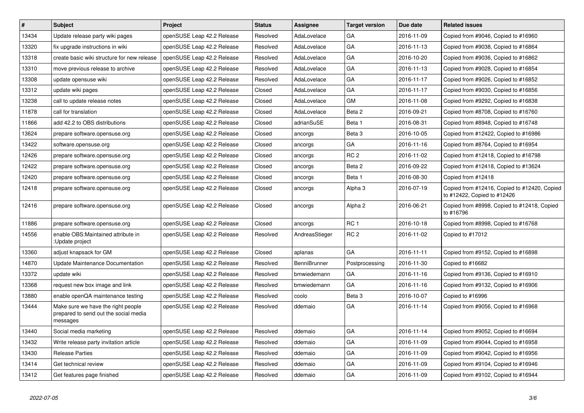| $\vert$ # | <b>Subject</b>                                                                          | Project                    | <b>Status</b> | Assignee            | <b>Target version</b> | Due date   | <b>Related issues</b>                                                       |
|-----------|-----------------------------------------------------------------------------------------|----------------------------|---------------|---------------------|-----------------------|------------|-----------------------------------------------------------------------------|
| 13434     | Update release party wiki pages                                                         | openSUSE Leap 42.2 Release | Resolved      | AdaLovelace         | GA                    | 2016-11-09 | Copied from #9046, Copied to #16960                                         |
| 13320     | fix upgrade instructions in wiki                                                        | openSUSE Leap 42.2 Release | Resolved      | AdaLovelace         | GA                    | 2016-11-13 | Copied from #9038, Copied to #16864                                         |
| 13318     | create basic wiki structure for new release                                             | openSUSE Leap 42.2 Release | Resolved      | AdaLovelace         | GA                    | 2016-10-20 | Copied from #9036, Copied to #16862                                         |
| 13310     | move previous release to archive                                                        | openSUSE Leap 42.2 Release | Resolved      | AdaLovelace         | GA                    | 2016-11-13 | Copied from #9028, Copied to #16854                                         |
| 13308     | update opensuse wiki                                                                    | openSUSE Leap 42.2 Release | Resolved      | AdaLovelace         | GA                    | 2016-11-17 | Copied from #9026, Copied to #16852                                         |
| 13312     | update wiki pages                                                                       | openSUSE Leap 42.2 Release | Closed        | AdaLovelace         | GA                    | 2016-11-17 | Copied from #9030, Copied to #16856                                         |
| 13238     | call to update release notes                                                            | openSUSE Leap 42.2 Release | Closed        | AdaLovelace         | <b>GM</b>             | 2016-11-08 | Copied from #9292, Copied to #16838                                         |
| 11878     | call for translation                                                                    | openSUSE Leap 42.2 Release | Closed        | AdaLovelace         | Beta 2                | 2016-09-21 | Copied from #8708, Copied to #16760                                         |
| 11866     | add 42.2 to OBS distributions                                                           | openSUSE Leap 42.2 Release | Closed        | adrianSuSE          | Beta 1                | 2016-08-31 | Copied from #8948, Copied to #16748                                         |
| 13624     | prepare software.opensuse.org                                                           | openSUSE Leap 42.2 Release | Closed        | ancorgs             | Beta <sub>3</sub>     | 2016-10-05 | Copied from #12422, Copied to #16986                                        |
| 13422     | software.opensuse.org                                                                   | openSUSE Leap 42.2 Release | Closed        | ancorgs             | GA                    | 2016-11-16 | Copied from #8764, Copied to #16954                                         |
| 12426     | prepare software.opensuse.org                                                           | openSUSE Leap 42.2 Release | Closed        | ancorgs             | RC <sub>2</sub>       | 2016-11-02 | Copied from #12418, Copied to #16798                                        |
| 12422     | prepare software.opensuse.org                                                           | openSUSE Leap 42.2 Release | Closed        | ancorgs             | Beta 2                | 2016-09-22 | Copied from #12418, Copied to #13624                                        |
| 12420     | prepare software.opensuse.org                                                           | openSUSE Leap 42.2 Release | Closed        | ancorgs             | Beta 1                | 2016-08-30 | Copied from #12418                                                          |
| 12418     | prepare software.opensuse.org                                                           | openSUSE Leap 42.2 Release | Closed        | ancorgs             | Alpha 3               | 2016-07-19 | Copied from #12416, Copied to #12420, Copied<br>to #12422, Copied to #12426 |
| 12416     | prepare software.opensuse.org                                                           | openSUSE Leap 42.2 Release | Closed        | ancorgs             | Alpha 2               | 2016-06-21 | Copied from #8998, Copied to #12418, Copied<br>to #16796                    |
| 11886     | prepare software.opensuse.org                                                           | openSUSE Leap 42.2 Release | Closed        | ancorgs             | RC <sub>1</sub>       | 2016-10-18 | Copied from #8998, Copied to #16768                                         |
| 14556     | enable OBS: Maintained attribute in<br>:Update project                                  | openSUSE Leap 42.2 Release | Resolved      | AndreasStieger      | RC 2                  | 2016-11-02 | Copied to #17012                                                            |
| 13360     | adjust knapsack for GM                                                                  | openSUSE Leap 42.2 Release | Closed        | aplanas             | GA                    | 2016-11-11 | Copied from #9152, Copied to #16898                                         |
| 14870     | Update Maintenance Documentation                                                        | openSUSE Leap 42.2 Release | Resolved      | <b>BenniBrunner</b> | Postprocessing        | 2016-11-30 | Copied to #16682                                                            |
| 13372     | update wiki                                                                             | openSUSE Leap 42.2 Release | Resolved      | bmwiedemann         | GA                    | 2016-11-16 | Copied from #9136, Copied to #16910                                         |
| 13368     | request new box image and link                                                          | openSUSE Leap 42.2 Release | Resolved      | bmwiedemann         | GА                    | 2016-11-16 | Copied from #9132, Copied to #16906                                         |
| 13880     | enable openQA maintenance testing                                                       | openSUSE Leap 42.2 Release | Resolved      | coolo               | Beta 3                | 2016-10-07 | Copied to #16996                                                            |
| 13444     | Make sure we have the right people<br>prepared to send out the social media<br>messages | openSUSE Leap 42.2 Release | Resolved      | ddemaio             | GA                    | 2016-11-14 | Copied from #9056, Copied to #16968                                         |
| 13440     | Social media marketing                                                                  | openSUSE Leap 42.2 Release | Resolved      | ddemaio             | GA                    | 2016-11-14 | Copied from #9052, Copied to #16694                                         |
| 13432     | Write release party invitation article                                                  | openSUSE Leap 42.2 Release | Resolved      | ddemaio             | GA                    | 2016-11-09 | Copied from #9044, Copied to #16958                                         |
| 13430     | <b>Release Parties</b>                                                                  | openSUSE Leap 42.2 Release | Resolved      | ddemaio             | GA                    | 2016-11-09 | Copied from #9042, Copied to #16956                                         |
| 13414     | Get technical review                                                                    | openSUSE Leap 42.2 Release | Resolved      | ddemaio             | GA                    | 2016-11-09 | Copied from #9104, Copied to #16946                                         |
| 13412     | Get features page finished                                                              | openSUSE Leap 42.2 Release | Resolved      | ddemaio             | GA                    | 2016-11-09 | Copied from #9102, Copied to #16944                                         |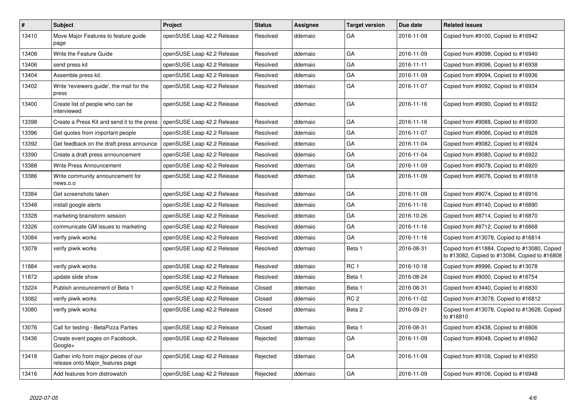| $\vert$ # | <b>Subject</b>                                                           | Project                    | <b>Status</b> | Assignee | <b>Target version</b> | Due date   | <b>Related issues</b>                                                                         |
|-----------|--------------------------------------------------------------------------|----------------------------|---------------|----------|-----------------------|------------|-----------------------------------------------------------------------------------------------|
| 13410     | Move Major Features to feature guide<br>page                             | openSUSE Leap 42.2 Release | Resolved      | ddemaio  | GА                    | 2016-11-09 | Copied from #9100, Copied to #16942                                                           |
| 13408     | Write the Feature Guide                                                  | openSUSE Leap 42.2 Release | Resolved      | ddemaio  | GA                    | 2016-11-09 | Copied from #9098, Copied to #16940                                                           |
| 13406     | send press kit                                                           | openSUSE Leap 42.2 Release | Resolved      | ddemaio  | GА                    | 2016-11-11 | Copied from #9096, Copied to #16938                                                           |
| 13404     | Assemble press kit.                                                      | openSUSE Leap 42.2 Release | Resolved      | ddemaio  | GA                    | 2016-11-09 | Copied from #9094, Copied to #16936                                                           |
| 13402     | Write 'reviewers guide', the mail for the<br>press                       | openSUSE Leap 42.2 Release | Resolved      | ddemaio  | GA                    | 2016-11-07 | Copied from #9092, Copied to #16934                                                           |
| 13400     | Create list of people who can be<br>interviewed                          | openSUSE Leap 42.2 Release | Resolved      | ddemaio  | GA                    | 2016-11-16 | Copied from #9090, Copied to #16932                                                           |
| 13398     | Create a Press Kit and send it to the press                              | openSUSE Leap 42.2 Release | Resolved      | ddemaio  | GA                    | 2016-11-16 | Copied from #9088, Copied to #16930                                                           |
| 13396     | Get quotes from important people                                         | openSUSE Leap 42.2 Release | Resolved      | ddemaio  | GA                    | 2016-11-07 | Copied from #9086, Copied to #16928                                                           |
| 13392     | Get feedback on the draft press announce                                 | openSUSE Leap 42.2 Release | Resolved      | ddemaio  | GA                    | 2016-11-04 | Copied from #9082, Copied to #16924                                                           |
| 13390     | Create a draft press announcement                                        | openSUSE Leap 42.2 Release | Resolved      | ddemaio  | GA                    | 2016-11-04 | Copied from #9080, Copied to #16922                                                           |
| 13388     | Write Press Announcement                                                 | openSUSE Leap 42.2 Release | Resolved      | ddemaio  | GA                    | 2016-11-09 | Copied from #9078, Copied to #16920                                                           |
| 13386     | Write community announcement for<br>news.o.o                             | openSUSE Leap 42.2 Release | Resolved      | ddemaio  | GA                    | 2016-11-09 | Copied from #9076, Copied to #16918                                                           |
| 13384     | Get screenshots taken                                                    | openSUSE Leap 42.2 Release | Resolved      | ddemaio  | GA                    | 2016-11-09 | Copied from #9074, Copied to #16916                                                           |
| 13348     | install google alerts                                                    | openSUSE Leap 42.2 Release | Resolved      | ddemaio  | GA                    | 2016-11-16 | Copied from #9140, Copied to #16890                                                           |
| 13328     | marketing brainstorm session                                             | openSUSE Leap 42.2 Release | Resolved      | ddemaio  | GA                    | 2016-10-26 | Copied from #8714, Copied to #16870                                                           |
| 13326     | communicate GM issues to marketing                                       | openSUSE Leap 42.2 Release | Resolved      | ddemaio  | GA                    | 2016-11-16 | Copied from #8712, Copied to #16868                                                           |
| 13084     | verify piwik works                                                       | openSUSE Leap 42.2 Release | Resolved      | ddemaio  | GA                    | 2016-11-16 | Copied from #13078, Copied to #16814                                                          |
| 13078     | verify piwik works                                                       | openSUSE Leap 42.2 Release | Resolved      | ddemaio  | Beta 1                | 2016-08-31 | Copied from #11884, Copied to #13080, Copied<br>to #13082, Copied to #13084, Copied to #16808 |
| 11884     | verify piwik works                                                       | openSUSE Leap 42.2 Release | Resolved      | ddemaio  | <b>RC1</b>            | 2016-10-18 | Copied from #8996, Copied to #13078                                                           |
| 11872     | update slide show                                                        | openSUSE Leap 42.2 Release | Resolved      | ddemaio  | Beta 1                | 2016-08-24 | Copied from #9000, Copied to #16754                                                           |
| 13224     | Publish announcement of Beta 1                                           | openSUSE Leap 42.2 Release | Closed        | ddemaio  | Beta 1                | 2016-08-31 | Copied from #3440, Copied to #16830                                                           |
| 13082     | verify piwik works                                                       | openSUSE Leap 42.2 Release | Closed        | ddemaio  | RC <sub>2</sub>       | 2016-11-02 | Copied from #13078, Copied to #16812                                                          |
| 13080     | verify piwik works                                                       | openSUSE Leap 42.2 Release | Closed        | ddemaio  | Beta 2                | 2016-09-21 | Copied from #13078, Copied to #13628, Copied<br>to #16810                                     |
| 13076     | Call for testing - BetaPizza Parties                                     | openSUSE Leap 42.2 Release | Closed        | ddemaio  | Beta 1                | 2016-08-31 | Copied from #3438, Copied to #16806                                                           |
| 13436     | Create event pages on Facebook,<br>Google+                               | openSUSE Leap 42.2 Release | Rejected      | ddemaio  | GА                    | 2016-11-09 | Copied from #9048, Copied to #16962                                                           |
| 13418     | Gather info from major pieces of our<br>release onto Major features page | openSUSE Leap 42.2 Release | Rejected      | ddemaio  | GA                    | 2016-11-09 | Copied from #9108, Copied to #16950                                                           |
| 13416     | Add features from distrowatch                                            | openSUSE Leap 42.2 Release | Rejected      | ddemaio  | GA                    | 2016-11-09 | Copied from #9106, Copied to #16948                                                           |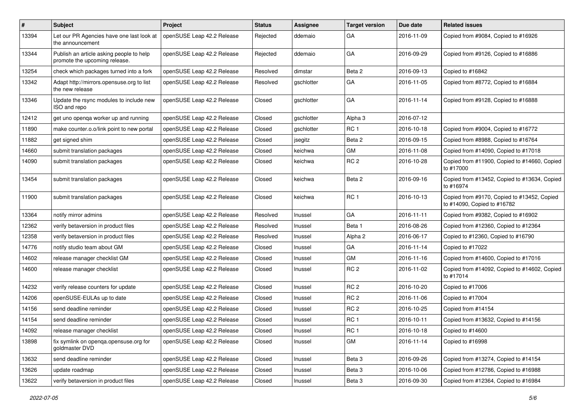| #     | <b>Subject</b>                                                            | Project                    | <b>Status</b> | <b>Assignee</b> | <b>Target version</b> | Due date   | <b>Related issues</b>                                                      |
|-------|---------------------------------------------------------------------------|----------------------------|---------------|-----------------|-----------------------|------------|----------------------------------------------------------------------------|
| 13394 | Let our PR Agencies have one last look at<br>the announcement             | openSUSE Leap 42.2 Release | Rejected      | ddemaio         | GА                    | 2016-11-09 | Copied from #9084, Copied to #16926                                        |
| 13344 | Publish an article asking people to help<br>promote the upcoming release. | openSUSE Leap 42.2 Release | Rejected      | ddemaio         | GА                    | 2016-09-29 | Copied from #9126, Copied to #16886                                        |
| 13254 | check which packages turned into a fork                                   | openSUSE Leap 42.2 Release | Resolved      | dimstar         | Beta 2                | 2016-09-13 | Copied to #16842                                                           |
| 13342 | Adapt http://mirrors.opensuse.org to list<br>the new release              | openSUSE Leap 42.2 Release | Resolved      | gschlotter      | GA                    | 2016-11-05 | Copied from #8772, Copied to #16884                                        |
| 13346 | Update the rsync modules to include new<br>ISO and repo                   | openSUSE Leap 42.2 Release | Closed        | gschlotter      | GA                    | 2016-11-14 | Copied from #9128, Copied to #16888                                        |
| 12412 | get uno openqa worker up and running                                      | openSUSE Leap 42.2 Release | Closed        | gschlotter      | Alpha 3               | 2016-07-12 |                                                                            |
| 11890 | make counter.o.o/link point to new portal                                 | openSUSE Leap 42.2 Release | Closed        | gschlotter      | RC <sub>1</sub>       | 2016-10-18 | Copied from #9004, Copied to #16772                                        |
| 11882 | get signed shim                                                           | openSUSE Leap 42.2 Release | Closed        | jsegitz         | Beta 2                | 2016-09-15 | Copied from #8988, Copied to #16764                                        |
| 14660 | submit translation packages                                               | openSUSE Leap 42.2 Release | Closed        | keichwa         | GM                    | 2016-11-08 | Copied from #14090, Copied to #17018                                       |
| 14090 | submit translation packages                                               | openSUSE Leap 42.2 Release | Closed        | keichwa         | RC <sub>2</sub>       | 2016-10-28 | Copied from #11900, Copied to #14660, Copied<br>to #17000                  |
| 13454 | submit translation packages                                               | openSUSE Leap 42.2 Release | Closed        | keichwa         | Beta 2                | 2016-09-16 | Copied from #13452, Copied to #13634, Copied<br>to #16974                  |
| 11900 | submit translation packages                                               | openSUSE Leap 42.2 Release | Closed        | keichwa         | RC <sub>1</sub>       | 2016-10-13 | Copied from #9170, Copied to #13452, Copied<br>to #14090, Copied to #16782 |
| 13364 | notify mirror admins                                                      | openSUSE Leap 42.2 Release | Resolved      | Inussel         | GA                    | 2016-11-11 | Copied from #9382, Copied to #16902                                        |
| 12362 | verify betaversion in product files                                       | openSUSE Leap 42.2 Release | Resolved      | Inussel         | Beta 1                | 2016-08-26 | Copied from #12360, Copied to #12364                                       |
| 12358 | verify betaversion in product files                                       | openSUSE Leap 42.2 Release | Resolved      | Inussel         | Alpha 2               | 2016-06-17 | Copied to #12360, Copied to #16790                                         |
| 14776 | notify studio team about GM                                               | openSUSE Leap 42.2 Release | Closed        | Inussel         | GA                    | 2016-11-14 | Copied to #17022                                                           |
| 14602 | release manager checklist GM                                              | openSUSE Leap 42.2 Release | Closed        | Inussel         | GM                    | 2016-11-16 | Copied from #14600, Copied to #17016                                       |
| 14600 | release manager checklist                                                 | openSUSE Leap 42.2 Release | Closed        | Inussel         | RC <sub>2</sub>       | 2016-11-02 | Copied from #14092, Copied to #14602, Copied<br>to #17014                  |
| 14232 | verify release counters for update                                        | openSUSE Leap 42.2 Release | Closed        | Inussel         | RC <sub>2</sub>       | 2016-10-20 | Copied to #17006                                                           |
| 14206 | openSUSE-EULAs up to date                                                 | openSUSE Leap 42.2 Release | Closed        | Inussel         | RC <sub>2</sub>       | 2016-11-06 | Copied to #17004                                                           |
| 14156 | send deadline reminder                                                    | openSUSE Leap 42.2 Release | Closed        | Inussel         | RC <sub>2</sub>       | 2016-10-25 | Copied from #14154                                                         |
| 14154 | send deadline reminder                                                    | openSUSE Leap 42.2 Release | Closed        | Inussel         | RC <sub>1</sub>       | 2016-10-11 | Copied from #13632, Copied to #14156                                       |
| 14092 | release manager checklist                                                 | openSUSE Leap 42.2 Release | Closed        | Inussel         | RC <sub>1</sub>       | 2016-10-18 | Copied to #14600                                                           |
| 13898 | fix symlink on openga.opensuse.org for<br>goldmaster DVD                  | openSUSE Leap 42.2 Release | Closed        | Inussel         | GM                    | 2016-11-14 | Copied to #16998                                                           |
| 13632 | send deadline reminder                                                    | openSUSE Leap 42.2 Release | Closed        | Inussel         | Beta 3                | 2016-09-26 | Copied from #13274, Copied to #14154                                       |
| 13626 | update roadmap                                                            | openSUSE Leap 42.2 Release | Closed        | Inussel         | Beta 3                | 2016-10-06 | Copied from #12786, Copied to #16988                                       |
| 13622 | verify betaversion in product files                                       | openSUSE Leap 42.2 Release | Closed        | Inussel         | Beta 3                | 2016-09-30 | Copied from #12364, Copied to #16984                                       |